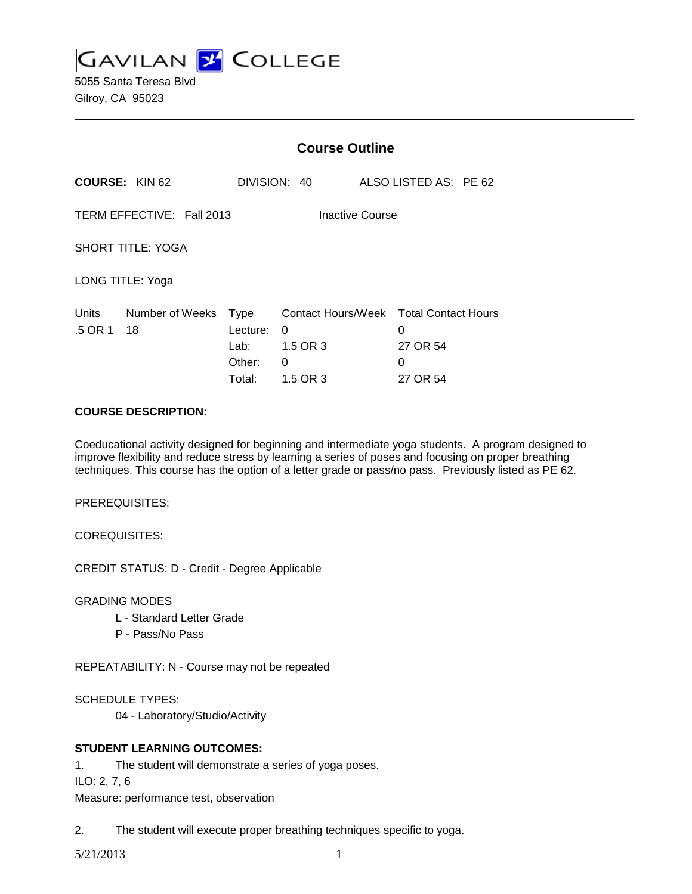**GAVILAN 2 COLLEGE** 

5055 Santa Teresa Blvd Gilroy, CA 95023

|                                              |                       | <b>Course Outline</b>                               |                                                                          |  |                                |  |
|----------------------------------------------|-----------------------|-----------------------------------------------------|--------------------------------------------------------------------------|--|--------------------------------|--|
| <b>COURSE: KIN 62</b>                        |                       |                                                     | DIVISION: 40                                                             |  | ALSO LISTED AS: PE 62          |  |
| TERM EFFECTIVE: Fall 2013<br>Inactive Course |                       |                                                     |                                                                          |  |                                |  |
| <b>SHORT TITLE: YOGA</b>                     |                       |                                                     |                                                                          |  |                                |  |
| LONG TITLE: Yoga                             |                       |                                                     |                                                                          |  |                                |  |
| Units<br>.5 OR 1                             | Number of Weeks<br>18 | <u>Type</u><br>Lecture:<br>Lab:<br>Other:<br>Total: | Contact Hours/Week Total Contact Hours<br>0<br>1.5 OR 3<br>0<br>1.5 OR 3 |  | 0<br>27 OR 54<br>0<br>27 OR 54 |  |

### **COURSE DESCRIPTION:**

Coeducational activity designed for beginning and intermediate yoga students. A program designed to improve flexibility and reduce stress by learning a series of poses and focusing on proper breathing techniques. This course has the option of a letter grade or pass/no pass. Previously listed as PE 62.

PREREQUISITES:

COREQUISITES:

CREDIT STATUS: D - Credit - Degree Applicable

GRADING MODES

- L Standard Letter Grade
- P Pass/No Pass

REPEATABILITY: N - Course may not be repeated

SCHEDULE TYPES:

04 - Laboratory/Studio/Activity

# **STUDENT LEARNING OUTCOMES:**

1. The student will demonstrate a series of yoga poses.

ILO: 2, 7, 6

Measure: performance test, observation

2. The student will execute proper breathing techniques specific to yoga.

5/21/2013 1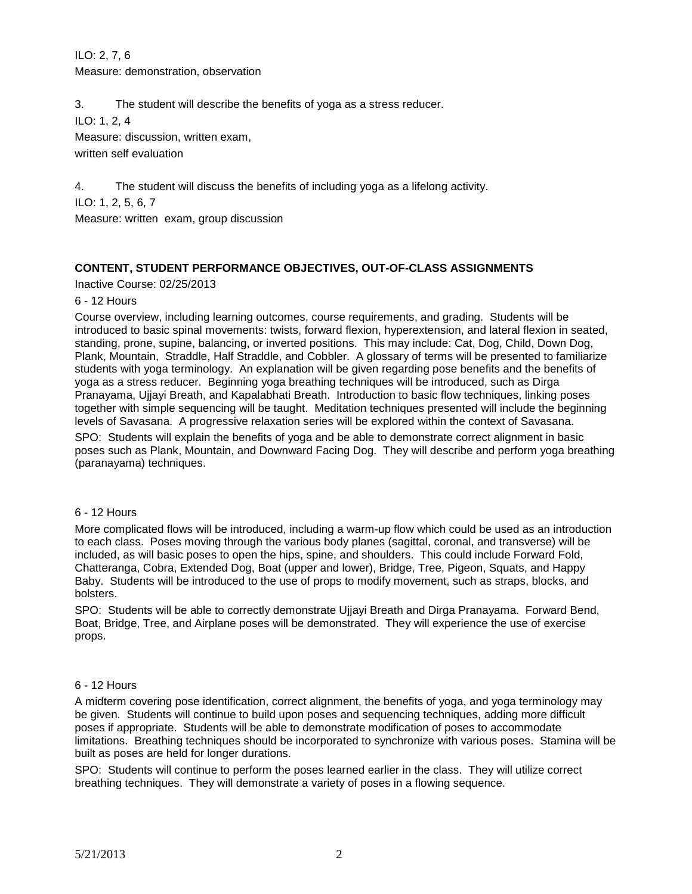ILO: 2, 7, 6 Measure: demonstration, observation

3. The student will describe the benefits of yoga as a stress reducer.

ILO: 1, 2, 4

Measure: discussion, written exam, written self evaluation

4. The student will discuss the benefits of including yoga as a lifelong activity.

ILO: 1, 2, 5, 6, 7

Measure: written exam, group discussion

# **CONTENT, STUDENT PERFORMANCE OBJECTIVES, OUT-OF-CLASS ASSIGNMENTS**

Inactive Course: 02/25/2013

### 6 - 12 Hours

Course overview, including learning outcomes, course requirements, and grading. Students will be introduced to basic spinal movements: twists, forward flexion, hyperextension, and lateral flexion in seated, standing, prone, supine, balancing, or inverted positions. This may include: Cat, Dog, Child, Down Dog, Plank, Mountain, Straddle, Half Straddle, and Cobbler. A glossary of terms will be presented to familiarize students with yoga terminology. An explanation will be given regarding pose benefits and the benefits of yoga as a stress reducer. Beginning yoga breathing techniques will be introduced, such as Dirga Pranayama, Ujjayi Breath, and Kapalabhati Breath. Introduction to basic flow techniques, linking poses together with simple sequencing will be taught. Meditation techniques presented will include the beginning levels of Savasana. A progressive relaxation series will be explored within the context of Savasana.

SPO: Students will explain the benefits of yoga and be able to demonstrate correct alignment in basic poses such as Plank, Mountain, and Downward Facing Dog. They will describe and perform yoga breathing (paranayama) techniques.

#### 6 - 12 Hours

More complicated flows will be introduced, including a warm-up flow which could be used as an introduction to each class. Poses moving through the various body planes (sagittal, coronal, and transverse) will be included, as will basic poses to open the hips, spine, and shoulders. This could include Forward Fold, Chatteranga, Cobra, Extended Dog, Boat (upper and lower), Bridge, Tree, Pigeon, Squats, and Happy Baby. Students will be introduced to the use of props to modify movement, such as straps, blocks, and bolsters.

SPO: Students will be able to correctly demonstrate Ujjayi Breath and Dirga Pranayama. Forward Bend, Boat, Bridge, Tree, and Airplane poses will be demonstrated. They will experience the use of exercise props.

# 6 - 12 Hours

A midterm covering pose identification, correct alignment, the benefits of yoga, and yoga terminology may be given. Students will continue to build upon poses and sequencing techniques, adding more difficult poses if appropriate. Students will be able to demonstrate modification of poses to accommodate limitations. Breathing techniques should be incorporated to synchronize with various poses. Stamina will be built as poses are held for longer durations.

SPO: Students will continue to perform the poses learned earlier in the class. They will utilize correct breathing techniques. They will demonstrate a variety of poses in a flowing sequence.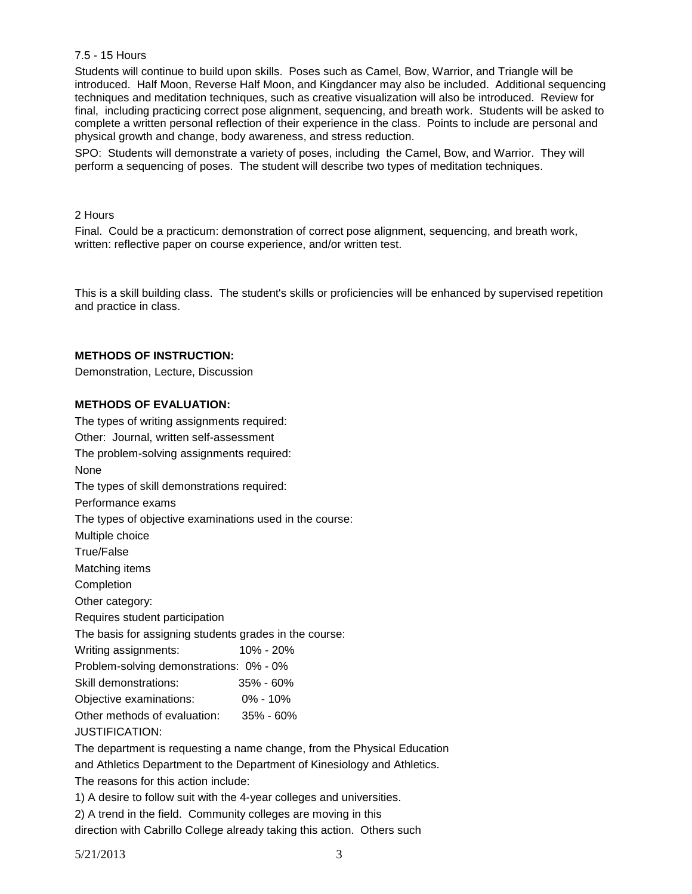### 7.5 - 15 Hours

Students will continue to build upon skills. Poses such as Camel, Bow, Warrior, and Triangle will be introduced. Half Moon, Reverse Half Moon, and Kingdancer may also be included. Additional sequencing techniques and meditation techniques, such as creative visualization will also be introduced. Review for final, including practicing correct pose alignment, sequencing, and breath work. Students will be asked to complete a written personal reflection of their experience in the class. Points to include are personal and physical growth and change, body awareness, and stress reduction.

SPO: Students will demonstrate a variety of poses, including the Camel, Bow, and Warrior. They will perform a sequencing of poses. The student will describe two types of meditation techniques.

#### 2 Hours

Final. Could be a practicum: demonstration of correct pose alignment, sequencing, and breath work, written: reflective paper on course experience, and/or written test.

This is a skill building class. The student's skills or proficiencies will be enhanced by supervised repetition and practice in class.

#### **METHODS OF INSTRUCTION:**

Demonstration, Lecture, Discussion

#### **METHODS OF EVALUATION:**

The types of writing assignments required: Other: Journal, written self-assessment The problem-solving assignments required: None The types of skill demonstrations required: Performance exams The types of objective examinations used in the course: Multiple choice True/False Matching items Completion Other category: Requires student participation The basis for assigning students grades in the course: Writing assignments: 10% - 20% Problem-solving demonstrations: 0% - 0% Skill demonstrations: 35% - 60% Objective examinations: 0% - 10% Other methods of evaluation: 35% - 60% JUSTIFICATION: The department is requesting a name change, from the Physical Education and Athletics Department to the Department of Kinesiology and Athletics.

The reasons for this action include:

1) A desire to follow suit with the 4-year colleges and universities.

2) A trend in the field. Community colleges are moving in this

direction with Cabrillo College already taking this action. Others such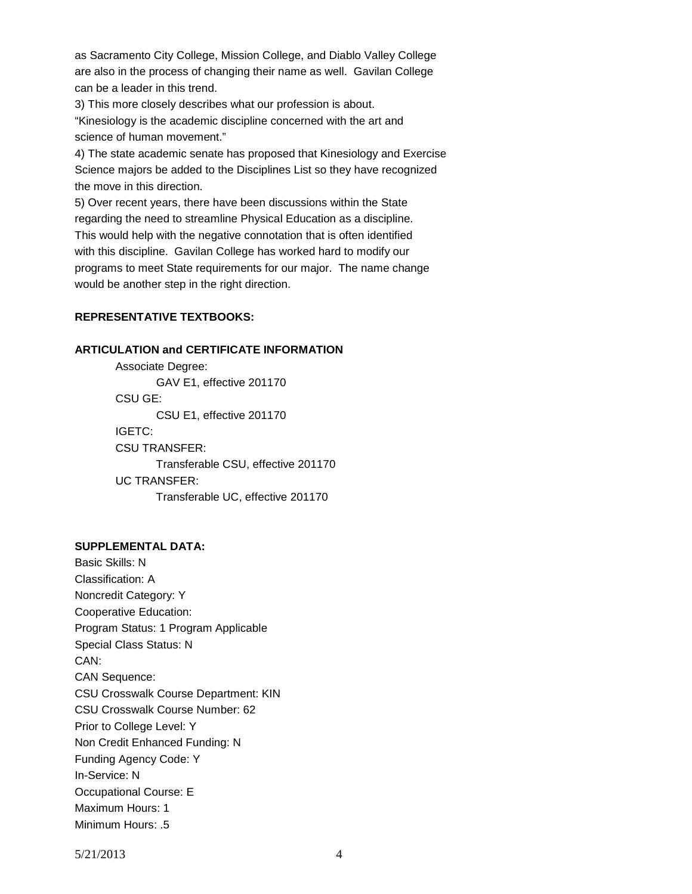as Sacramento City College, Mission College, and Diablo Valley College are also in the process of changing their name as well. Gavilan College can be a leader in this trend.

3) This more closely describes what our profession is about.

"Kinesiology is the academic discipline concerned with the art and science of human movement."

4) The state academic senate has proposed that Kinesiology and Exercise Science majors be added to the Disciplines List so they have recognized the move in this direction.

5) Over recent years, there have been discussions within the State regarding the need to streamline Physical Education as a discipline. This would help with the negative connotation that is often identified with this discipline. Gavilan College has worked hard to modify our programs to meet State requirements for our major. The name change would be another step in the right direction.

# **REPRESENTATIVE TEXTBOOKS:**

### **ARTICULATION and CERTIFICATE INFORMATION**

Associate Degree: GAV E1, effective 201170 CSU GE: CSU E1, effective 201170 IGETC: CSU TRANSFER: Transferable CSU, effective 201170 UC TRANSFER: Transferable UC, effective 201170

# **SUPPLEMENTAL DATA:**

Basic Skills: N Classification: A Noncredit Category: Y Cooperative Education: Program Status: 1 Program Applicable Special Class Status: N CAN: CAN Sequence: CSU Crosswalk Course Department: KIN CSU Crosswalk Course Number: 62 Prior to College Level: Y Non Credit Enhanced Funding: N Funding Agency Code: Y In-Service: N Occupational Course: E Maximum Hours: 1 Minimum Hours: .5